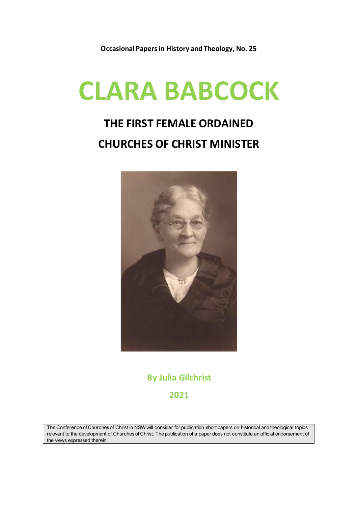**Occasional Papers in History and Theology, No. 25**

# **CLARA BABCOCK**

## **THE FIRST FEMALE ORDAINED CHURCHES OF CHRIST MINISTER**



**By Julia Gilchrist 2021**

The Conference of Churches of Christ in NSW will consider for publication short papers on historical and theological topics relevant to the development of Churches of Christ. The publication of a paper does not constitute an official endorsement of the views expressed therein.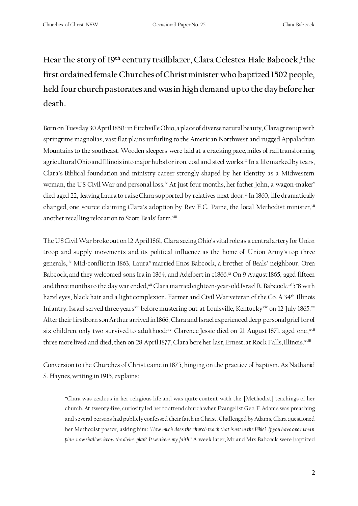**Hear the story of 19th century trailblazer, Clara Celestea Hale Babcock, i the first ordained female Churches of Christ minister who baptized 1502 people, held four church pastorates and was in high demand upto the day before her death.** 

Born on Tuesday 30 April 1850<sup>ii</sup> in Fitchville Ohio, a place of diverse natural beauty, Clara grew up with springtime magnolias, vast flat plains unfurling to the American Northwest and rugged Appalachian Mountainsto the southeast. Wooden sleepers were laid at a cracking pace, miles of rail transforming agricultural Ohio and Illinois into major hubs for iron, coal and steel works. ii In a life marked by tears, Clara's Biblical foundation and ministry career strongly shaped by her identity as a Midwestern woman, the US Civil War and personal loss.<sup>iv</sup> At just four months, her father John, a wagon-maker<sup>v</sup> died aged 22, leaving Laura to raiseClara supported by relatives next door. vi In 1860, life dramatically changed, one source claiming Clara's adoption by Rev F.C. Paine, the local Methodist minister, vii another recalling relocation to Scott Beals' farm.'''''

The US Civil War broke out on 12 April 1861, Clara seeing Ohio's vital role as a central artery for Union troop and supply movements and its political influence as the home of Union Army's top three generals,.ix Mid-conflict in 1863, Laurax married Enos Babcock, a brother of Beals' neighbour, Oren Babcock, and they welcomed sons Ira in 1864, and Adelbert in c1866. xi On 9 August 1865, aged fifteen and three months to the day war ended,<sup>xii</sup> Clara married eighteen-year-old Israel R. Babcock,<sup>18</sup> 5"8 with hazel eyes, black hair and a light complexion. Farmer and Civil War veteran of the Co. A 34<sup>th</sup> Illinois Infantry, Israel served three years<sup>xiii</sup> before mustering out at Louisville, Kentucky<sup>xiv</sup> on 12 July 1865.xv After their firstborn son Arthur arrived in 1866, Clara and Israel experienced deep personal grief for of six children, only two survived to adulthood:<sup>xvi</sup> Clarence Jessie died on 21 August 1871, aged one,<sup>xvii</sup> three more lived and died, then on 28 April 1877, Clara bore her last, Ernest, at Rock Falls, Illinois. *xviii* 

Conversion to the Churches of Christ came in 1875, hinging on the practice of baptism. As Nathaniel S. Haynes, writing in 1915, explains:

"Clara was zealous in her religious life and was quite content with the [Methodist] teachings of her church. At twenty-five, curiosity led her to attend church when Evangelist Geo. F. Adams was preaching and several persons had publicly confessed their faith in Christ. Challenged by Adams, Clara questioned her Methodist pastor, asking him: *"How much does the church teach that is not in the Bible? If you have one huma n plan, how shall we know the divine plan? It weakens my faith."* A week later, Mr and Mrs Babcock were baptized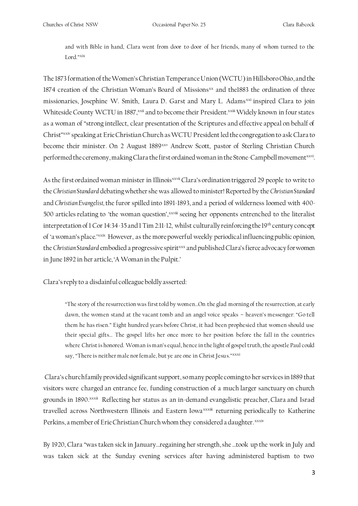and with Bible in hand, Clara went from door to door of her friends, many of whom turned to the Lord." xix

The 1873 formation of the Women's Christian Temperance Union (WCTU) in Hillsboro Ohio, and the 1874 creation of the Christian Woman's Board of Missions<sup>xx</sup> and the1883 the ordination of three missionaries, Josephine W. Smith, Laura D. Garst and Mary L. Adams<sup>xxi</sup> inspired Clara to join Whiteside County WCTU in 1887, <sup>xxii</sup> and to become their President.<sup>xxiii</sup> Widely known in four states as a woman of "strong intellect, clear presentation of the Scriptures and effective appeal on behalf of Christ"xxiv speaking at Erie Christian Church as WCTU President led thecongregation to ask Clara to become their minister. On 2 August 1889<sup>xxv</sup> Andrew Scott, pastor of Sterling Christian Church performed the ceremony, making Clara the first ordained woman in the Stone-Campbell movement¤xvi.

As the first ordained woman minister in Illinois<sup>xxvii</sup> Clara's ordination triggered 29 people to write to the *Christian Standard* debating whether she was allowed to minister! Reported by the *Christian Standard* and *Christian Evangelist,* the furor spilled into 1891-1893, and a period of wilderness loomed with 400- 500 articles relating to 'the woman question', xxviii seeing her opponents entrenched to the literalist interpretation of 1 Cor 14:34-35 and 1 Tim 2:11-12, whilst culturally reinforcing the 19<sup>th</sup> century concept of 'a woman's place.'<sup>xxix</sup> However, as the more powerful weekly periodical influencing public opinion, the *Christian Standard* embodied a progressive spiritxxx and published Clara's fierce advocacy for women in June 1892 in her article, 'A Woman in the Pulpit.'

Clara's reply to a disdainful colleague boldly asserted:

"The story of the resurrection was first told by women…On the glad morning of the resurrection, at early dawn, the women stand at the vacant tomb and an angel voice speaks – heaven's messenger: "Go tell them he has risen." Eight hundred years before Christ, it had been prophesied that women should use their special gifts… The gospel lifts her once more to her position before the fall in the countries where Christ is honored. Woman is man's equal, hence in the light of gospel truth, the apostle Paul could say, "There is neither male nor female, but ye are one in Christ Jesus." xxxi

Clara's church family provided significant support, so many people coming to her servicesin 1889 that visitors were charged an entrance fee, funding construction of a much larger sanctuary on church grounds in 1890.xxxii Reflecting her status as an in-demand evangelistic preacher, Clara and Israel travelled across Northwestern Illinois and Eastern Iowa<sup>xxxii</sup> returning periodically to Katherine Perkins, a member of Erie Christian Church whom they considered a daughter. xxxiv

By 1920, Clara "was taken sick in January...regaining her strength, she ...took up the work in July and was taken sick at the Sunday evening services after having administered baptism to two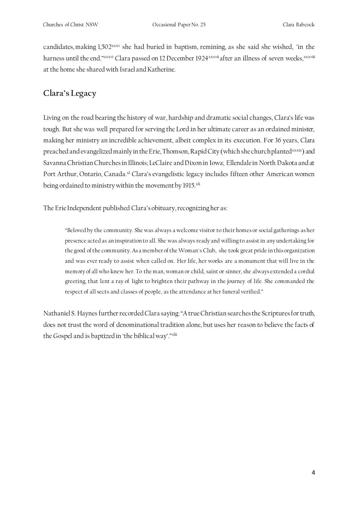candidates,making 1,502xxxv she had buried in baptism, remining, as she said she wished, "in the harness until the end."xxxvi Clara passed on 12 December 1924xxxvii after an illness of seven weeks, xxxviii at the home she shared with Israel and Katherine.

#### **Clara's Legacy**

Living on the road bearing the history of war, hardship and dramatic social changes, Clara's life was tough. But she was well prepared for serving the Lord in her ultimate career as an ordained minister, making her ministry an incredible achievement, albeit complex in its execution. For 36 years, Clara preached and evangelized mainly in the Erie, Thomson, Rapid City (which she church planted<sup>xxxix</sup>) and Savanna Christian Churches in Illinois; LeClaire and Dixon in Iowa; Ellendale in North Dakota and at Port Arthur, Ontario, Canada.<sup>xl</sup> Clara's evangelistic legacy includes fifteen other American women being ordained to ministry within the movement by 1915.<sup>xli</sup>

The Erie Independent published Clara's obituary, recognizingher as:

"Beloved by the community. She was always a welcome visitor to their homes or social gatherings as her presence acted as an inspiration to all. She was always ready and willing to assist in any undertaking for the good of the community. As a member of the Woman's Club, she took great pride in this organization and was ever ready to assist when called on. Her life, her works are a monument that will live in the memory of all who knew her. To the man, woman or child, saint or sinner, she always extended a cordial greeting, that lent a ray of light to brighten their pathway in the journey of life. She commanded the respect of all sects and classes of people, as the attendance at her funeral verified."

Nathaniel S. Haynes further recorded Clara saying: "A true Christian searches the Scriptures for truth, does not trust the word of denominational tradition alone, but uses her reason to believe the facts of the Gospel and is baptized in 'the biblical way'."xlii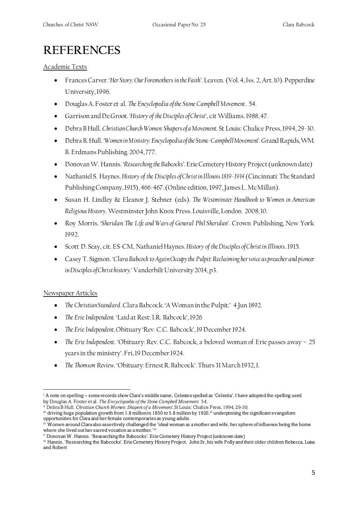### **REFERENCES**

Academic Texts

- Frances Carver. *'Her Story: Our Foremothers in the Faith'*. Leaven. (Vol. 4, Iss. 2, Art. 10). Pepperdine University, 1996.
- Douglas A. Foster et al. *The Encyclopedia of the Stone Campbell Movement*. 54.
- Garrison and De Groot. *'History of the Disciples of Christ'*, cit Williams. 1988, 47.
- Debra B Hull. *Christian Church Women: Shapers of a Movement.* St Louis: Chalice Press, 1994, 29-30.
- Debra B. Hull. *'Women in Ministry: Encyclopedia of the Stone-Campbell Movement'.*Grand Rapids, WM. B. Erdmans Publishing. 2004, 777.
- Donovan W. Hannis. *'Researching the Babcocks'.*Erie Cemetery History Project (unknown date)
- Nathaniel S. Haynes. *History of the Disciples of Christ in Illinois 1819-1914* (Cincinnati: The Standard Publishing Company, 1915), 466-467. (Online edition, 1997, James L. McMillan).
- Susan H. Lindley & Eleanor J. Stebner (eds). *The Westminster Handbook to Women in American Religious History*. Westminster John Knox Press. Louisville, London. 2008, 10.
- Roy Morris. *'Sheridan: The Life and Wars of General Phil Sheridan'*. Crown Publishing, New York. 1992.
- Scott D. Seay, cit. ES-CM, Nathaniel Haynes. *History of the Disciples of Christ in Illinois*. 1915.
- Casey T. Sigmon. *'Clara Babcock to Again Occupy the Pulpit: Reclaiming her voice as preacher and pioneer in Disciples of Christ history.'* Vanderbilt University 2014, p3.

#### Newspaper Articles

- *The Christian Standard*. Clara Babcock. 'A Woman in the Pulpit.' 4 Jun 1892.
- *The Erie Independent.* 'Laid at Rest: I.R. Babcock', 1926
- *The Erie Independent*. Obituary 'Rev. C.C. Babcock', 19 December 1924.
- *The Erie Independent*. 'Obituary: Rev. C.C. Babcock, a beloved woman of Erie passes away 25 years in the ministry'. Fri, 19 December 1924.
- *The Thomson Review*. 'Obituary: Ernest R. Babcock'. Thurs 31 March 1932, 1.

<sup>i</sup> A note on spelling – some records show Clara's middle name, Celestea spelled as 'Celestia'. I have adopted the spelling used by Douglas A. Foster et al. *The Encyclopedia of the Stone Campbell Movement.* 54.

ii Debra B Hull. *Christian Church Women: Shapers of a Movement*. St Louis: Chalice Press, 1994, 29-30.

iii driving huge population growth from 1.8 million in 1850 to 5.8 million by 1920, iii underpinning the significant evangelism opportunities for Clara and her female contemporaries as young adults.

iv Women around Clara also assertively challenged the 'ideal woman as a mother and wife, her sphere of influence being the home where she lived out her sacred vocation as a mother.'iv

<sup>v</sup> Donovan W. Hannis. 'Researching the Babcocks'. Erie Cemetery History Project (unknown date)

vi Hannis. 'Researching the Babcocks'.Erie Cemetery History Project. John Sr, his wife Polly and their older children Rebecca, Luisa and Robert